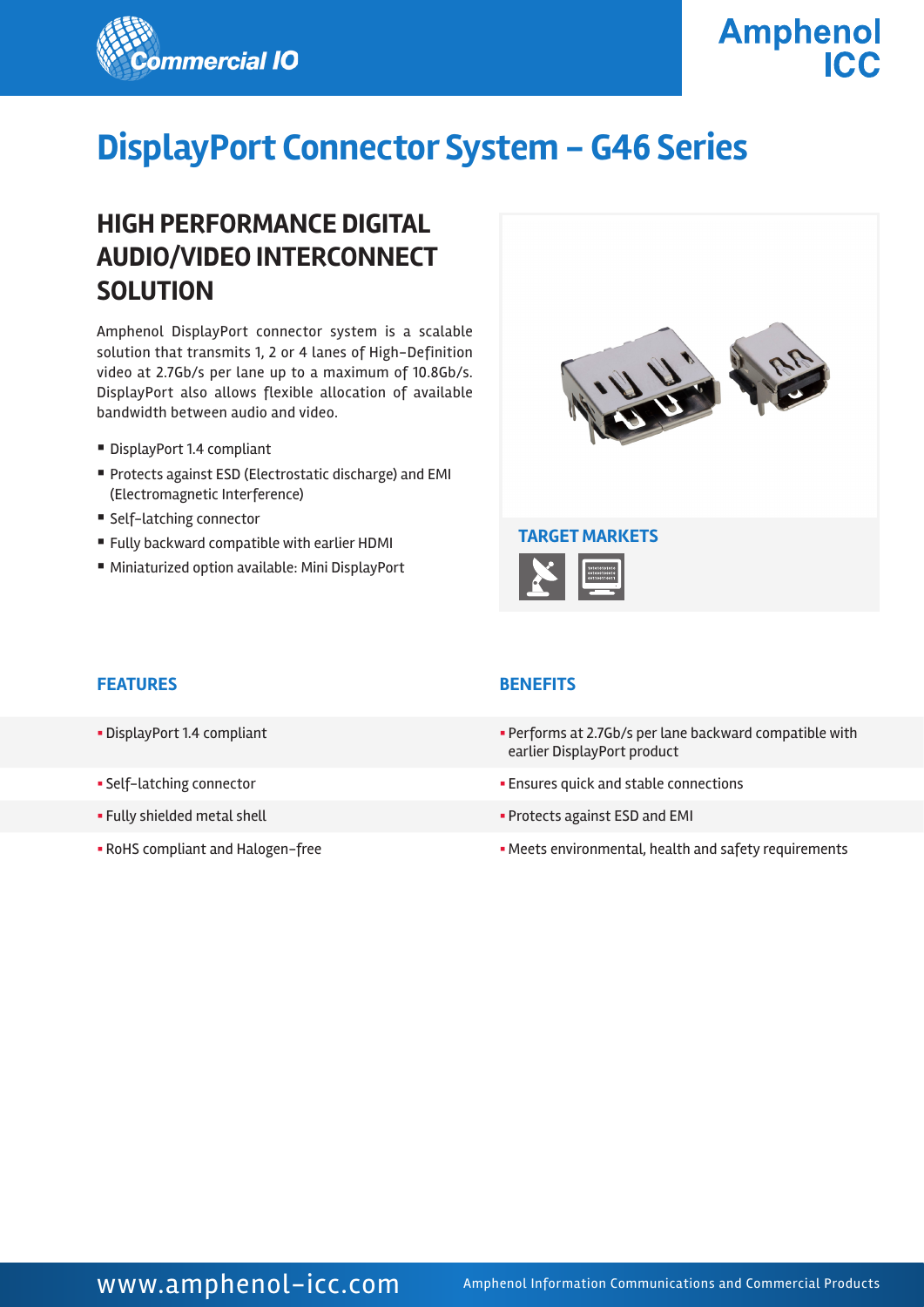

**Amphenol ICC** 

# **DisplayPort Connector System - G46 Series**

## **HIGH PERFORMANCE DIGITAL AUDIO/VIDEO INTERCONNECT SOLUTION**

Amphenol DisplayPort connector system is a scalable solution that transmits 1, 2 or 4 lanes of High-Definition video at 2.7Gb/s per lane up to a maximum of 10.8Gb/s. DisplayPort also allows flexible allocation of available bandwidth between audio and video.

- DisplayPort 1.4 compliant
- § Protects against ESD (Electrostatic discharge) and EMI (Electromagnetic Interference)
- Self-latching connector
- Fully backward compatible with earlier HDMI
- Miniaturized option available: Mini DisplayPort



#### **FEATURES BENEFITS**

- 
- 
- 
- 

- § DisplayPort 1.4 compliant § Performs at 2.7Gb/s per lane backward compatible with earlier DisplayPort product
- § Self-latching connector § Ensures quick and stable connections
- § Fully shielded metal shell § Protects against ESD and EMI
- RoHS compliant and Halogen-free The State of the Meets environmental, health and safety requirements